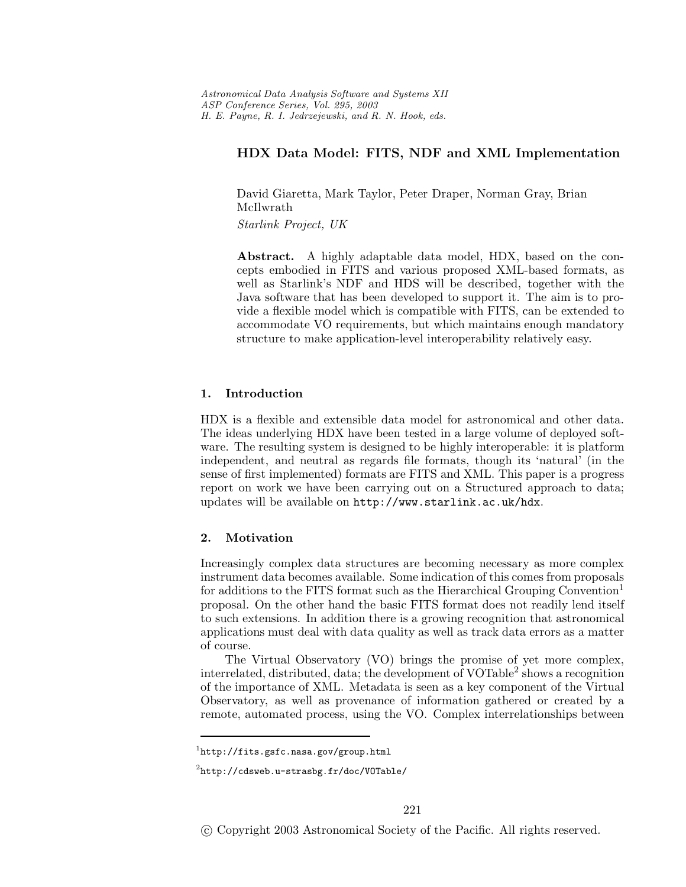# **HDX Data Model: FITS, NDF and XML Implementation**

David Giaretta, Mark Taylor, Peter Draper, Norman Gray, Brian McIlwrath *Starlink Project, UK*

**Abstract.** A highly adaptable data model, HDX, based on the concepts embodied in FITS and various proposed XML-based formats, as well as Starlink's NDF and HDS will be described, together with the Java software that has been developed to support it. The aim is to provide a flexible model which iscompatible with FITS, can be extended to accommodate VO requirements, but which maintains enough mandatory structure to make application-level interoperability relatively easy.

# **1. Introduction**

HDX is a flexible and extensible data model for astronomical and other data. The ideas underlying HDX have been tested in a large volume of deployed software. The resulting system is designed to be highly interoperable: it is platform independent, and neutral as regards file formats, though its 'natural' (in the sense of first implemented) formats are FITS and XML. This paper is a progress report on work we have been carrying out on a Structured approach to data; updateswill be available on http://www.starlink.ac.uk/hdx.

## **2. Motivation**

Increasingly complex data structures are becoming necessary as more complex instrument data becomes available. Some indication of this comes from proposals for additions to the FITS format such as the Hierarchical Grouping Convention<sup>1</sup> proposal. On the other hand the basic FITS format does not readily lend itself to such extensions. In addition there is a growing recognition that astronomical applications must deal with data quality as well as track data errors as a matter of course.

The Virtual Observatory (VO) brings the promise of yet more complex, interrelated, distributed, data; the development of VOTable<sup>2</sup> shows a recognition of the importance of XML. Metadata isseen asa key component of the Virtual Observatory, as well as provenance of information gathered or created by a remote, automated process, using the VO. Complex interrelationships between

 $1$ http://fits.gsfc.nasa.gov/group.html

 $2$ http://cdsweb.u-strasbg.fr/doc/VOTable/

c Copyright 2003 Astronomical Society of the Pacific. All rights reserved.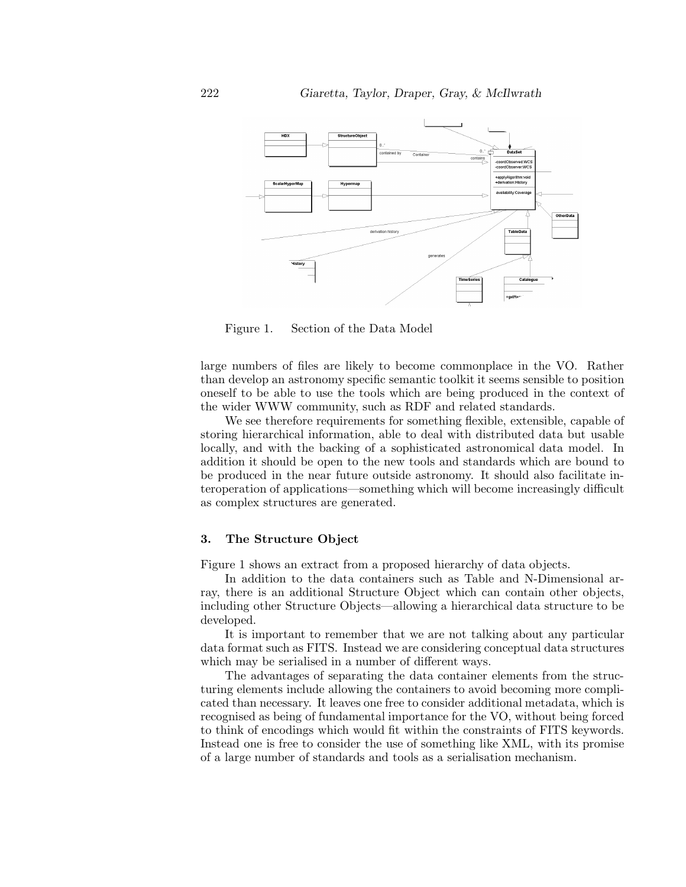

Figure 1. Section of the Data Model

large numbers of files are likely to become commonplace in the VO. Rather than develop an astronomy specific semantic toolkit it seems sensible to position oneself to be able to use the tools which are being produced in the context of the wider WWW community, such as RDF and related standards.

We see therefore requirements for something flexible, extensible, capable of storing hierarchical information, able to deal with distributed data but usable locally, and with the backing of a sophisticated astronomical data model. In addition it should be open to the new tools and standards which are bound to be produced in the near future outside astronomy. It should also facilitate interoperation of applications—something which will become increasingly difficult as complex structures are generated.

# **3. The Structure Object**

Figure 1 shows an extract from a proposed hierarchy of data objects.

In addition to the data containers such as Table and N-Dimensional array, there is an additional Structure Object which can contain other objects, including other Structure Objects—allowing a hierarchical data structure to be developed.

It isimportant to remember that we are not talking about any particular data format such as FITS. Instead we are considering conceptual data structures which may be serialised in a number of different ways.

The advantages of separating the data container elements from the structuring elements include allowing the containers to avoid becoming more complicated than necessary. It leaves one free to consider additional metadata, which is recognised as being of fundamental importance for the VO, without being forced to think of encodings which would fit within the constraints of FITS keywords. Instead one is free to consider the use of something like XML, with its promise of a large number of standards and tools as a serialisation mechanism.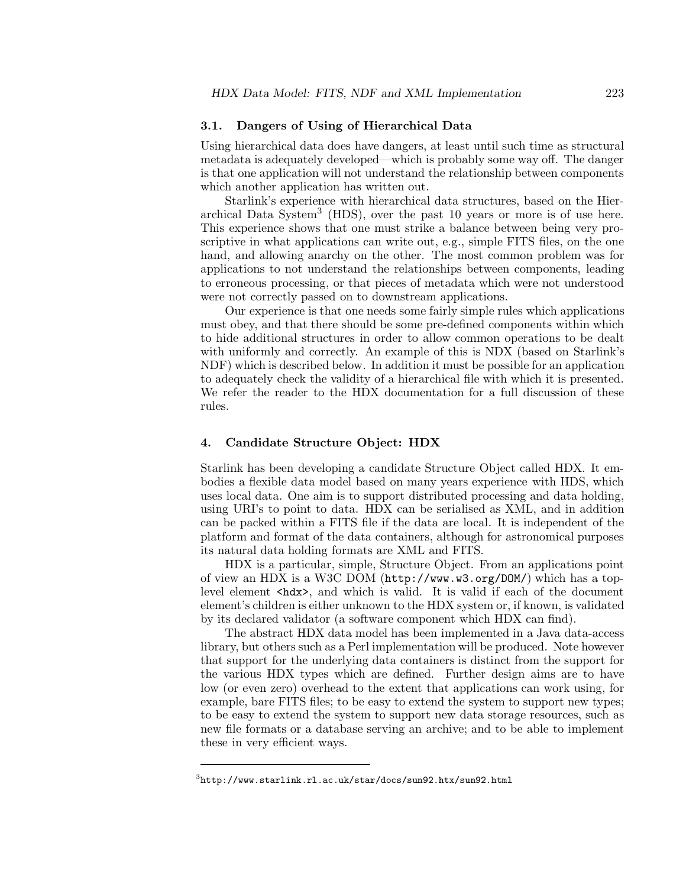## **3.1. Dangers of Using of Hierarchical Data**

Using hierarchical data does have dangers, at least until such time as structural metadata is adequately developed—which is probably some way off. The danger is that one application will not understand the relationship between components which another application has written out.

Starlink's experience with hierarchical data structures, based on the Hierarchical Data System<sup>3</sup> (HDS), over the past 10 years or more is of use here. This experience shows that one must strike a balance between being very proscriptive in what applications can write out, e.g., simple FITS files, on the one hand, and allowing anarchy on the other. The most common problem was for applications to not understand the relationships between components, leading to erroneous processing, or that pieces of metadata which were not understood were not correctly passed on to downstream applications.

Our experience is that one needs some fairly simple rules which applications must obey, and that there should be some pre-defined components within which to hide additional structures in order to allow common operations to be dealt with uniformly and correctly. An example of this is NDX (based on Starlink's NDF) which is described below. In addition it must be possible for an application to adequately check the validity of a hierarchical file with which it ispresented. We refer the reader to the HDX documentation for a full discussion of these rules.

# **4. Candidate Structure Object: HDX**

Starlink hasbeen developing a candidate Structure Object called HDX. It embodies a flexible data model based on many years experience with HDS, which uses local data. One aim is to support distributed processing and data holding, using URI's to point to data. HDX can be serialised as XML, and in addition can be packed within a FITS file if the data are local. It isindependent of the platform and format of the data containers, although for astronomical purposes its natural data holding formats are XML and FITS.

HDX isa particular, simple, Structure Object. From an applicationspoint of view an HDX isa W3C DOM (http://www.w3.org/DOM/) which hasa toplevel element <hdx>, and which is valid. It is valid if each of the document element'schildren iseither unknown to the HDX system or, if known, isvalidated by its declared validator (a software component which HDX can find).

The abstract HDX data model has been implemented in a Java data-access library, but others such as a Perl implementation will be produced. Note however that support for the underlying data containers is distinct from the support for the various HDX types which are defined. Further design aims are to have low (or even zero) overhead to the extent that applications can work using, for example, bare FITS files; to be easy to extend the system to support new types; to be easy to extend the system to support new data storage resources, such as new file formats or a database serving an archive; and to be able to implement these in very efficient ways.

 $^3$ http://www.starlink.rl.ac.uk/star/docs/sun92.htx/sun92.html